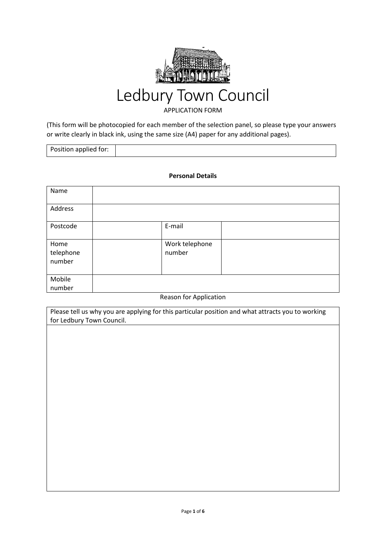

# Ledbury Town Council

### APPLICATION FORM

(This form will be photocopied for each member of the selection panel, so please type your answers or write clearly in black ink, using the same size (A4) paper for any additional pages).

| Position applied for: |
|-----------------------|
|-----------------------|

#### **Personal Details**

| Name                |                |  |
|---------------------|----------------|--|
| Address             |                |  |
| Postcode            | E-mail         |  |
| Home                | Work telephone |  |
| telephone<br>number | number         |  |
|                     |                |  |
| Mobile              |                |  |
| number              |                |  |

#### Reason for Application

Please tell us why you are applying for this particular position and what attracts you to working for Ledbury Town Council.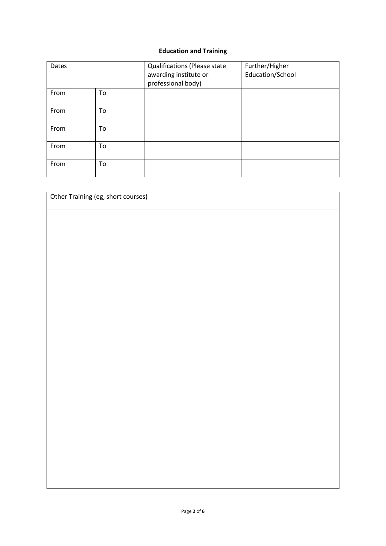# **Education and Training**

| Dates |    | <b>Qualifications (Please state</b><br>awarding institute or<br>professional body) | Further/Higher<br>Education/School |
|-------|----|------------------------------------------------------------------------------------|------------------------------------|
| From  | To |                                                                                    |                                    |
| From  | To |                                                                                    |                                    |
| From  | To |                                                                                    |                                    |
| From  | To |                                                                                    |                                    |
| From  | To |                                                                                    |                                    |

| Other Training (eg, short courses) |  |  |  |  |  |
|------------------------------------|--|--|--|--|--|
|                                    |  |  |  |  |  |
|                                    |  |  |  |  |  |
|                                    |  |  |  |  |  |
|                                    |  |  |  |  |  |
|                                    |  |  |  |  |  |
|                                    |  |  |  |  |  |
|                                    |  |  |  |  |  |
|                                    |  |  |  |  |  |
|                                    |  |  |  |  |  |
|                                    |  |  |  |  |  |
|                                    |  |  |  |  |  |
|                                    |  |  |  |  |  |
|                                    |  |  |  |  |  |
|                                    |  |  |  |  |  |
|                                    |  |  |  |  |  |
|                                    |  |  |  |  |  |
|                                    |  |  |  |  |  |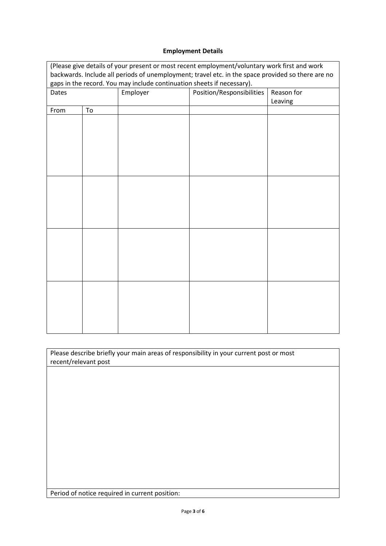# **Employment Details**

| (Please give details of your present or most recent employment/voluntary work first and work      |    |          |                           |            |  |
|---------------------------------------------------------------------------------------------------|----|----------|---------------------------|------------|--|
| backwards. Include all periods of unemployment; travel etc. in the space provided so there are no |    |          |                           |            |  |
| gaps in the record. You may include continuation sheets if necessary).                            |    |          |                           |            |  |
| Dates                                                                                             |    | Employer | Position/Responsibilities | Reason for |  |
|                                                                                                   |    |          |                           | Leaving    |  |
| From                                                                                              | To |          |                           |            |  |
|                                                                                                   |    |          |                           |            |  |
|                                                                                                   |    |          |                           |            |  |
|                                                                                                   |    |          |                           |            |  |
|                                                                                                   |    |          |                           |            |  |
|                                                                                                   |    |          |                           |            |  |
|                                                                                                   |    |          |                           |            |  |
|                                                                                                   |    |          |                           |            |  |
|                                                                                                   |    |          |                           |            |  |
|                                                                                                   |    |          |                           |            |  |
|                                                                                                   |    |          |                           |            |  |
|                                                                                                   |    |          |                           |            |  |
|                                                                                                   |    |          |                           |            |  |
|                                                                                                   |    |          |                           |            |  |
|                                                                                                   |    |          |                           |            |  |
|                                                                                                   |    |          |                           |            |  |
|                                                                                                   |    |          |                           |            |  |
|                                                                                                   |    |          |                           |            |  |
|                                                                                                   |    |          |                           |            |  |
|                                                                                                   |    |          |                           |            |  |
|                                                                                                   |    |          |                           |            |  |
|                                                                                                   |    |          |                           |            |  |
|                                                                                                   |    |          |                           |            |  |
|                                                                                                   |    |          |                           |            |  |
|                                                                                                   |    |          |                           |            |  |

| Please describe briefly your main areas of responsibility in your current post or most |  |
|----------------------------------------------------------------------------------------|--|
| recent/relevant post                                                                   |  |

Period of notice required in current position: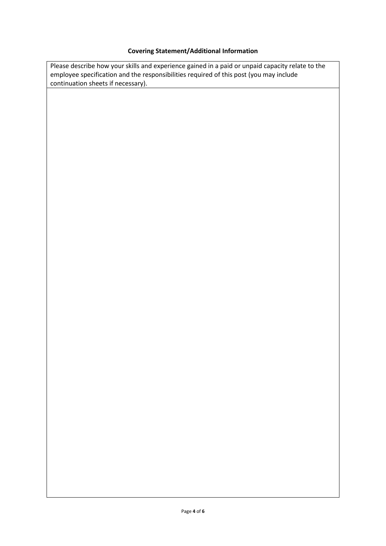# **Covering Statement/Additional Information**

Please describe how your skills and experience gained in a paid or unpaid capacity relate to the employee specification and the responsibilities required of this post (you may include continuation sheets if necessary).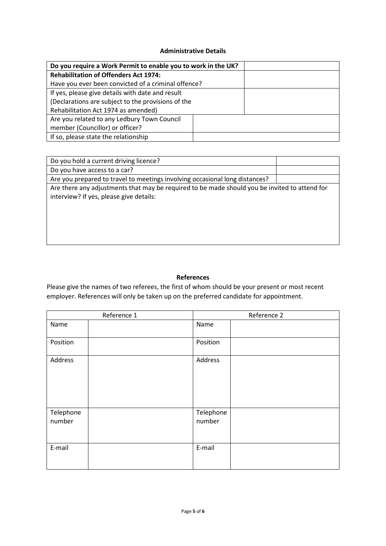#### **Administrative Details**

| Do you require a Work Permit to enable you to work in the UK? |  |
|---------------------------------------------------------------|--|
| <b>Rehabilitation of Offenders Act 1974:</b>                  |  |
| Have you ever been convicted of a criminal offence?           |  |
| If yes, please give details with date and result              |  |
| (Declarations are subject to the provisions of the            |  |
| Rehabilitation Act 1974 as amended)                           |  |
| Are you related to any Ledbury Town Council                   |  |
| member (Councillor) or officer?                               |  |
| If so, please state the relationship                          |  |

| Do you hold a current driving licence?                                                                                                   |  |
|------------------------------------------------------------------------------------------------------------------------------------------|--|
| Do you have access to a car?                                                                                                             |  |
| Are you prepared to travel to meetings involving occasional long distances?                                                              |  |
| Are there any adjustments that may be required to be made should you be invited to attend for<br>interview? If yes, please give details: |  |

#### **References**

Please give the names of two referees, the first of whom should be your present or most recent employer. References will only be taken up on the preferred candidate for appointment.

| Reference 1         |  | Reference 2         |  |
|---------------------|--|---------------------|--|
| Name                |  | Name                |  |
| Position            |  | Position            |  |
| Address             |  | Address             |  |
| Telephone<br>number |  | Telephone<br>number |  |
| E-mail              |  | E-mail              |  |